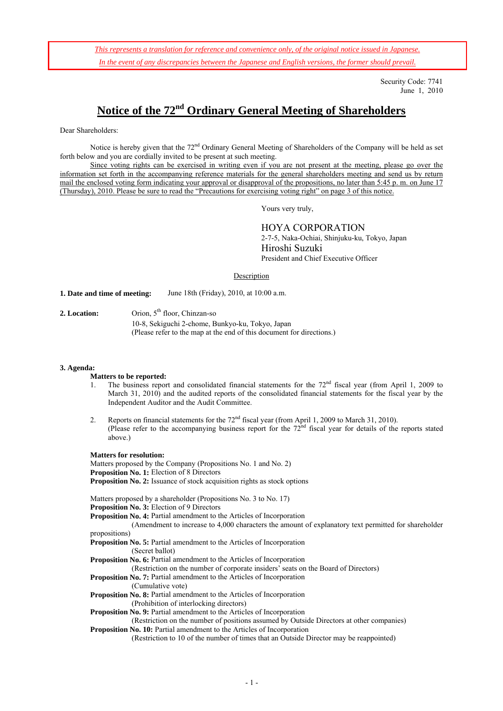*This represents a translation for reference and convenience only, of the original notice issued in Japanese. In the event of any discrepancies between the Japanese and English versions, the former should prevail.*

> Security Code: 7741 June 1, 2010

# **Notice of the 72nd Ordinary General Meeting of Shareholders**

Dear Shareholders:

Notice is hereby given that the 72<sup>nd</sup> Ordinary General Meeting of Shareholders of the Company will be held as set forth below and you are cordially invited to be present at such meeting.

Since voting rights can be exercised in writing even if you are not present at the meeting, please go over the information set forth in the accompanying reference materials for the general shareholders meeting and send us by return mail the enclosed voting form indicating your approval or disapproval of the propositions, no later than 5:45 p.m. on June 17 (Thursday), 2010. Please be sure to read the "Precautions for exercising voting right" on page 3 of this notice.

Yours very truly,

HOYA CORPORATION 2-7-5, Naka-Ochiai, Shinjuku-ku, Tokyo, Japan Hiroshi Suzuki President and Chief Executive Officer

Description

**1. Date and time of meeting:** June 18th (Friday), 2010, at 10:00 a.m.

2. Location: Orion, 5<sup>th</sup> floor, Chinzan-so 10-8, Sekiguchi 2-chome, Bunkyo-ku, Tokyo, Japan (Please refer to the map at the end of this document for directions.)

#### **3. Agenda:**

#### **Matters to be reported:**

- 1. The business report and consolidated financial statements for the 72<sup>nd</sup> fiscal year (from April 1, 2009 to March 31, 2010) and the audited reports of the consolidated financial statements for the fiscal year by the Independent Auditor and the Audit Committee.
- 2. Reports on financial statements for the  $72<sup>nd</sup>$  fiscal year (from April 1, 2009 to March 31, 2010). (Please refer to the accompanying business report for the  $72<sup>nd</sup>$  fiscal year for details of the reports stated above.)

**Matters for resolution:**  Matters proposed by the Company (Propositions No. 1 and No. 2) **Proposition No. 1:** Election of 8 Directors **Proposition No. 2:** Issuance of stock acquisition rights as stock options

Matters proposed by a shareholder (Propositions No. 3 to No. 17)

**Proposition No. 3:** Election of 9 Directors

**Proposition No. 4:** Partial amendment to the Articles of Incorporation

 (Amendment to increase to 4,000 characters the amount of explanatory text permitted for shareholder propositions)

**Proposition No. 5:** Partial amendment to the Articles of Incorporation

(Secret ballot)

**Proposition No. 6:** Partial amendment to the Articles of Incorporation

(Restriction on the number of corporate insiders' seats on the Board of Directors)

**Proposition No. 7:** Partial amendment to the Articles of Incorporation

(Cumulative vote)

**Proposition No. 8:** Partial amendment to the Articles of Incorporation (Prohibition of interlocking directors)

**Proposition No. 9:** Partial amendment to the Articles of Incorporation

 (Restriction on the number of positions assumed by Outside Directors at other companies) **Proposition No. 10:** Partial amendment to the Articles of Incorporation

(Restriction to 10 of the number of times that an Outside Director may be reappointed)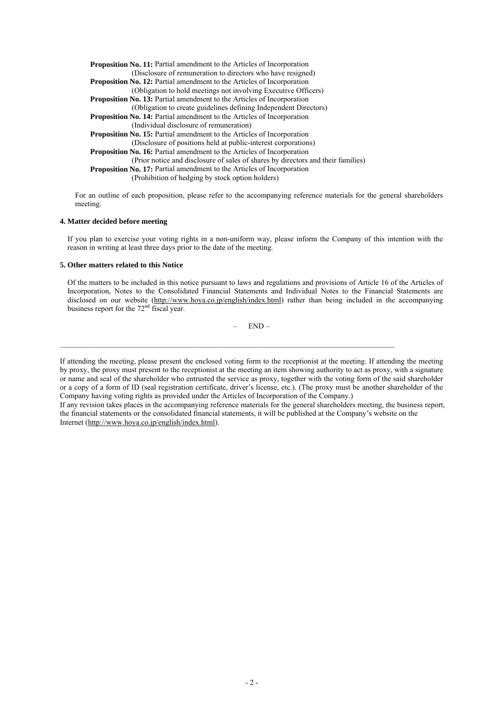**Proposition No. 11:** Partial amendment to the Articles of Incorporation (Disclosure of remuneration to directors who have resigned) **Proposition No. 12:** Partial amendment to the Articles of Incorporation (Obligation to hold meetings not involving Executive Officers) **Proposition No. 13:** Partial amendment to the Articles of Incorporation (Obligation to create guidelines defining Independent Directors) **Proposition No. 14:** Partial amendment to the Articles of Incorporation (Individual disclosure of remuneration) **Proposition No. 15:** Partial amendment to the Articles of Incorporation (Disclosure of positions held at public-interest corporations) **Proposition No. 16:** Partial amendment to the Articles of Incorporation (Prior notice and disclosure of sales of shares by directors and their families) **Proposition No. 17:** Partial amendment to the Articles of Incorporation (Prohibition of hedging by stock option holders)

For an outline of each proposition, please refer to the accompanying reference materials for the general shareholders meeting.

#### **4. Matter decided before meeting**

If you plan to exercise your voting rights in a non-uniform way, please inform the Company of this intention with the reason in writing at least three days prior to the date of the meeting.

#### **5. Other matters related to this Notice**

Of the matters to be included in this notice pursuant to laws and regulations and provisions of Article 16 of the Articles of Incorporation, Notes to the Consolidated Financial Statements and Individual Notes to the Financial Statements are disclosed on our website (http://www.hoya.co.jp/english/index.html) rather than being included in the accompanying business report for the  $72<sup>nd</sup>$  fiscal year.

– END –

If attending the meeting, please present the enclosed voting form to the receptionist at the meeting. If attending the meeting by proxy, the proxy must present to the receptionist at the meeting an item showing authority to act as proxy, with a signature or name and seal of the shareholder who entrusted the service as proxy, together with the voting form of the said shareholder or a copy of a form of ID (seal registration certificate, driver's license, etc.). (The proxy must be another shareholder of the Company having voting rights as provided under the Articles of Incorporation of the Company.)

If any revision takes places in the accompanying reference materials for the general shareholders meeting, the business report, the financial statements or the consolidated financial statements, it will be published at the Company's website on the Internet (http://www.hoya.co.jp/english/index.html).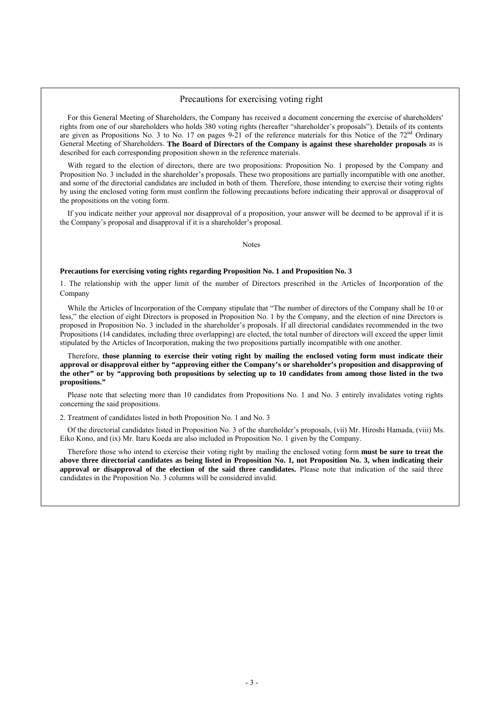# Precautions for exercising voting right

For this General Meeting of Shareholders, the Company has received a document concerning the exercise of shareholders' rights from one of our shareholders who holds 380 voting rights (hereafter "shareholder's proposals"). Details of its contents are given as Propositions No. 3 to No. 17 on pages 9-21 of the reference materials for this Notice of the  $72<sup>nd</sup>$  Ordinary General Meeting of Shareholders. **The Board of Directors of the Company is against these shareholder proposals** as is described for each corresponding proposition shown in the reference materials.

With regard to the election of directors, there are two propositions: Proposition No. 1 proposed by the Company and Proposition No. 3 included in the shareholder's proposals. These two propositions are partially incompatible with one another, and some of the directorial candidates are included in both of them. Therefore, those intending to exercise their voting rights by using the enclosed voting form must confirm the following precautions before indicating their approval or disapproval of the propositions on the voting form.

If you indicate neither your approval nor disapproval of a proposition, your answer will be deemed to be approval if it is the Company's proposal and disapproval if it is a shareholder's proposal.

**Notes** 

### **Precautions for exercising voting rights regarding Proposition No. 1 and Proposition No. 3**

1. The relationship with the upper limit of the number of Directors prescribed in the Articles of Incorporation of the Company

While the Articles of Incorporation of the Company stipulate that "The number of directors of the Company shall be 10 or less," the election of eight Directors is proposed in Proposition No. 1 by the Company, and the election of nine Directors is proposed in Proposition No. 3 included in the shareholder's proposals. If all directorial candidates recommended in the two Propositions (14 candidates, including three overlapping) are elected, the total number of directors will exceed the upper limit stipulated by the Articles of Incorporation, making the two propositions partially incompatible with one another.

Therefore, **those planning to exercise their voting right by mailing the enclosed voting form must indicate their approval or disapproval either by "approving either the Company's or shareholder's proposition and disapproving of the other" or by "approving both propositions by selecting up to 10 candidates from among those listed in the two propositions."** 

Please note that selecting more than 10 candidates from Propositions No. 1 and No. 3 entirely invalidates voting rights concerning the said propositions.

2. Treatment of candidates listed in both Proposition No. 1 and No. 3

Of the directorial candidates listed in Proposition No. 3 of the shareholder's proposals, (vii) Mr. Hiroshi Hamada, (viii) Ms. Eiko Kono, and (ix) Mr. Itaru Koeda are also included in Proposition No. 1 given by the Company.

Therefore those who intend to exercise their voting right by mailing the enclosed voting form **must be sure to treat the above three directorial candidates as being listed in Proposition No. 1, not Proposition No. 3, when indicating their approval or disapproval of the election of the said three candidates.** Please note that indication of the said three candidates in the Proposition No. 3 columns will be considered invalid.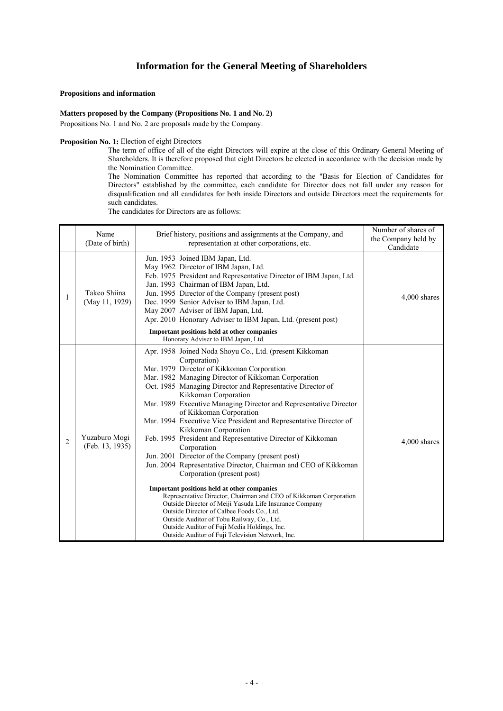# **Information for the General Meeting of Shareholders**

# **Propositions and information**

## **Matters proposed by the Company (Propositions No. 1 and No. 2)**

Propositions No. 1 and No. 2 are proposals made by the Company.

**Proposition No. 1:** Election of eight Directors

The term of office of all of the eight Directors will expire at the close of this Ordinary General Meeting of Shareholders. It is therefore proposed that eight Directors be elected in accordance with the decision made by the Nomination Committee.

The Nomination Committee has reported that according to the "Basis for Election of Candidates for Directors" established by the committee, each candidate for Director does not fall under any reason for disqualification and all candidates for both inside Directors and outside Directors meet the requirements for such candidates.

The candidates for Directors are as follows:

|   | Name<br>(Date of birth)          | Brief history, positions and assignments at the Company, and<br>representation at other corporations, etc.                                                                                                                                                                                                                                                                                                                                                                                                                                                                                                                                                                                                                                                                                                                                                                                                                                                                                                                                                                        | Number of shares of<br>the Company held by<br>Candidate |
|---|----------------------------------|-----------------------------------------------------------------------------------------------------------------------------------------------------------------------------------------------------------------------------------------------------------------------------------------------------------------------------------------------------------------------------------------------------------------------------------------------------------------------------------------------------------------------------------------------------------------------------------------------------------------------------------------------------------------------------------------------------------------------------------------------------------------------------------------------------------------------------------------------------------------------------------------------------------------------------------------------------------------------------------------------------------------------------------------------------------------------------------|---------------------------------------------------------|
| 1 | Takeo Shiina<br>(May 11, 1929)   | Jun. 1953 Joined IBM Japan, Ltd.<br>May 1962 Director of IBM Japan, Ltd.<br>Feb. 1975 President and Representative Director of IBM Japan, Ltd.<br>Jan. 1993 Chairman of IBM Japan, Ltd.<br>Jun. 1995 Director of the Company (present post)<br>Dec. 1999 Senior Adviser to IBM Japan, Ltd.<br>May 2007 Adviser of IBM Japan, Ltd.<br>Apr. 2010 Honorary Adviser to IBM Japan, Ltd. (present post)<br>Important positions held at other companies<br>Honorary Adviser to IBM Japan, Ltd.                                                                                                                                                                                                                                                                                                                                                                                                                                                                                                                                                                                           | 4,000 shares                                            |
| 2 | Yuzaburo Mogi<br>(Feb. 13, 1935) | Apr. 1958 Joined Noda Shoyu Co., Ltd. (present Kikkoman<br>Corporation)<br>Mar. 1979 Director of Kikkoman Corporation<br>Mar. 1982 Managing Director of Kikkoman Corporation<br>Oct. 1985 Managing Director and Representative Director of<br>Kikkoman Corporation<br>Mar. 1989 Executive Managing Director and Representative Director<br>of Kikkoman Corporation<br>Mar. 1994 Executive Vice President and Representative Director of<br>Kikkoman Corporation<br>Feb. 1995 President and Representative Director of Kikkoman<br>Corporation<br>Jun. 2001 Director of the Company (present post)<br>Jun. 2004 Representative Director, Chairman and CEO of Kikkoman<br>Corporation (present post)<br>Important positions held at other companies<br>Representative Director, Chairman and CEO of Kikkoman Corporation<br>Outside Director of Meiji Yasuda Life Insurance Company<br>Outside Director of Calbee Foods Co., Ltd.<br>Outside Auditor of Tobu Railway, Co., Ltd.<br>Outside Auditor of Fuji Media Holdings, Inc.<br>Outside Auditor of Fuji Television Network, Inc. | 4,000 shares                                            |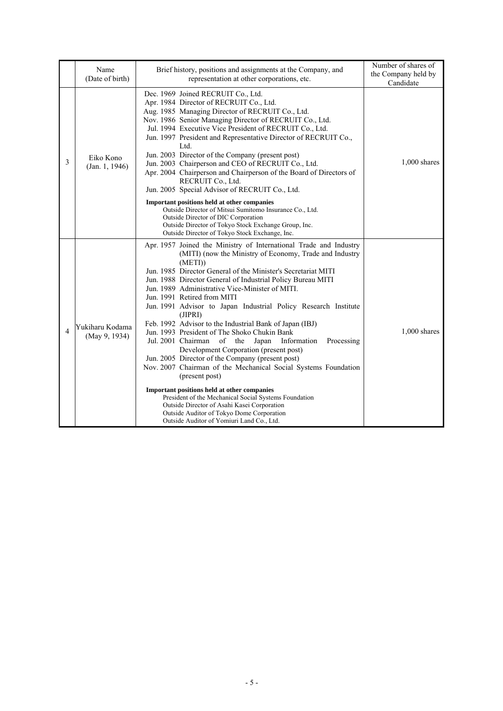|                | Name<br>(Date of birth)          | Brief history, positions and assignments at the Company, and<br>representation at other corporations, etc.                                                                                                                                                                                                                                                                                                                                                                                                                                                                                                                                                                                                                                                                                                                                                                                                                                                                                                                                                 | Number of shares of<br>the Company held by<br>Candidate |
|----------------|----------------------------------|------------------------------------------------------------------------------------------------------------------------------------------------------------------------------------------------------------------------------------------------------------------------------------------------------------------------------------------------------------------------------------------------------------------------------------------------------------------------------------------------------------------------------------------------------------------------------------------------------------------------------------------------------------------------------------------------------------------------------------------------------------------------------------------------------------------------------------------------------------------------------------------------------------------------------------------------------------------------------------------------------------------------------------------------------------|---------------------------------------------------------|
| 3              | Eiko Kono<br>(Jan. 1, 1946)      | Dec. 1969 Joined RECRUIT Co., Ltd.<br>Apr. 1984 Director of RECRUIT Co., Ltd.<br>Aug. 1985 Managing Director of RECRUIT Co., Ltd.<br>Nov. 1986 Senior Managing Director of RECRUIT Co., Ltd.<br>Jul. 1994 Executive Vice President of RECRUIT Co., Ltd.<br>Jun. 1997 President and Representative Director of RECRUIT Co.,<br>Ltd.<br>Jun. 2003 Director of the Company (present post)<br>Jun. 2003 Chairperson and CEO of RECRUIT Co., Ltd.<br>Apr. 2004 Chairperson and Chairperson of the Board of Directors of<br>RECRUIT Co., Ltd.<br>Jun. 2005 Special Advisor of RECRUIT Co., Ltd.<br>Important positions held at other companies                                                                                                                                                                                                                                                                                                                                                                                                                   | $1,000$ shares                                          |
|                |                                  | Outside Director of Mitsui Sumitomo Insurance Co., Ltd.<br>Outside Director of DIC Corporation<br>Outside Director of Tokyo Stock Exchange Group, Inc.<br>Outside Director of Tokyo Stock Exchange, Inc.                                                                                                                                                                                                                                                                                                                                                                                                                                                                                                                                                                                                                                                                                                                                                                                                                                                   |                                                         |
| $\overline{4}$ | Yukiharu Kodama<br>(May 9, 1934) | Apr. 1957 Joined the Ministry of International Trade and Industry<br>(MITI) (now the Ministry of Economy, Trade and Industry<br>(METI)<br>Jun. 1985 Director General of the Minister's Secretariat MITI<br>Jun. 1988 Director General of Industrial Policy Bureau MITI<br>Jun. 1989 Administrative Vice-Minister of MITI.<br>Jun. 1991 Retired from MITI<br>Jun. 1991 Advisor to Japan Industrial Policy Research Institute<br>(JIPRI)<br>Feb. 1992 Advisor to the Industrial Bank of Japan (IBJ)<br>Jun. 1993 President of The Shoko Chukin Bank<br>Jul. 2001 Chairman<br>of the<br>Japan<br>Information<br>Processing<br>Development Corporation (present post)<br>Jun. 2005 Director of the Company (present post)<br>Nov. 2007 Chairman of the Mechanical Social Systems Foundation<br>(present post)<br>Important positions held at other companies<br>President of the Mechanical Social Systems Foundation<br>Outside Director of Asahi Kasei Corporation<br>Outside Auditor of Tokyo Dome Corporation<br>Outside Auditor of Yomiuri Land Co., Ltd. | $1,000$ shares                                          |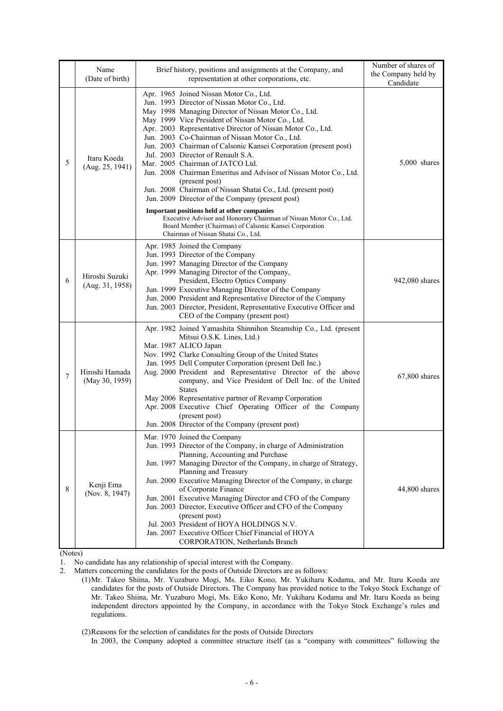|   | Name<br>(Date of birth)           | Brief history, positions and assignments at the Company, and<br>representation at other corporations, etc.                                                                                                                                                                                                                                                                                                                                                                                                                                                                                                                                                                                                                                                                                                                                                                                           | Number of shares of<br>the Company held by<br>Candidate |
|---|-----------------------------------|------------------------------------------------------------------------------------------------------------------------------------------------------------------------------------------------------------------------------------------------------------------------------------------------------------------------------------------------------------------------------------------------------------------------------------------------------------------------------------------------------------------------------------------------------------------------------------------------------------------------------------------------------------------------------------------------------------------------------------------------------------------------------------------------------------------------------------------------------------------------------------------------------|---------------------------------------------------------|
| 5 | Itaru Koeda<br>(Aug. 25, 1941)    | Apr. 1965 Joined Nissan Motor Co., Ltd.<br>Jun. 1993 Director of Nissan Motor Co., Ltd.<br>May 1998 Managing Director of Nissan Motor Co., Ltd.<br>May 1999 Vice President of Nissan Motor Co., Ltd.<br>Apr. 2003 Representative Director of Nissan Motor Co., Ltd.<br>Jun. 2003 Co-Chairman of Nissan Motor Co., Ltd.<br>Jun. 2003 Chairman of Calsonic Kansei Corporation (present post)<br>Jul. 2003 Director of Renault S.A.<br>Mar. 2005 Chairman of JATCO Ltd.<br>Jun. 2008 Chairman Emeritus and Advisor of Nissan Motor Co., Ltd.<br>(present post)<br>Jun. 2008 Chairman of Nissan Shatai Co., Ltd. (present post)<br>Jun. 2009 Director of the Company (present post)<br>Important positions held at other companies<br>Executive Advisor and Honorary Chairman of Nissan Motor Co., Ltd.<br>Board Member (Chairman) of Calsonic Kansei Corporation<br>Chairman of Nissan Shatai Co., Ltd. | $5,000$ shares                                          |
| 6 | Hiroshi Suzuki<br>(Aug. 31, 1958) | Apr. 1985 Joined the Company<br>Jun. 1993 Director of the Company<br>Jun. 1997 Managing Director of the Company<br>Apr. 1999 Managing Director of the Company,<br>President, Electro Optics Company<br>Jun. 1999 Executive Managing Director of the Company<br>Jun. 2000 President and Representative Director of the Company<br>Jun. 2003 Director, President, Representative Executive Officer and<br>CEO of the Company (present post)                                                                                                                                                                                                                                                                                                                                                                                                                                                            | 942,080 shares                                          |
| 7 | Hiroshi Hamada<br>(May 30, 1959)  | Apr. 1982 Joined Yamashita Shinnihon Steamship Co., Ltd. (present<br>Mitsui O.S.K. Lines, Ltd.)<br>Mar. 1987 ALICO Japan<br>Nov. 1992 Clarke Consulting Group of the United States<br>Jan. 1995 Dell Computer Corporation (present Dell Inc.)<br>Aug. 2000 President and Representative Director of the above<br>company, and Vice President of Dell Inc. of the United<br><b>States</b><br>May 2006 Representative partner of Revamp Corporation<br>Apr. 2008 Executive Chief Operating Officer of the Company<br>(present post)<br>Jun. 2008 Director of the Company (present post)                                                                                                                                                                                                                                                                                                                | 67,800 shares                                           |
| 8 | Kenji Ema<br>(Nov. 8, 1947)       | Mar. 1970 Joined the Company<br>Jun. 1993 Director of the Company, in charge of Administration<br>Planning, Accounting and Purchase<br>Jun. 1997 Managing Director of the Company, in charge of Strategy,<br>Planning and Treasury<br>Jun. 2000 Executive Managing Director of the Company, in charge<br>of Corporate Finance<br>Jun. 2001 Executive Managing Director and CFO of the Company<br>Jun. 2003 Director, Executive Officer and CFO of the Company<br>(present post)<br>Jul. 2003 President of HOYA HOLDINGS N.V.<br>Jan. 2007 Executive Officer Chief Financial of HOYA<br>CORPORATION, Netherlands Branch                                                                                                                                                                                                                                                                               | $44,800$ shares                                         |

(Notes)

1. No candidate has any relationship of special interest with the Company.

2. Matters concerning the candidates for the posts of Outside Directors are as follows:

 (1) Mr. Takeo Shiina, Mr. Yuzaburo Mogi, Ms. Eiko Kono, Mr. Yukiharu Kodama, and Mr. Itaru Koeda are candidates for the posts of Outside Directors. The Company has provided notice to the Tokyo Stock Exchange of Mr. Takeo Shiina, Mr. Yuzaburo Mogi, Ms. Eiko Kono, Mr. Yukiharu Kodama and Mr. Itaru Koeda as being independent directors appointed by the Company, in accordance with the Tokyo Stock Exchange's rules and regulations.

(2) Reasons for the selection of candidates for the posts of Outside Directors

In 2003, the Company adopted a committee structure itself (as a "company with committees" following the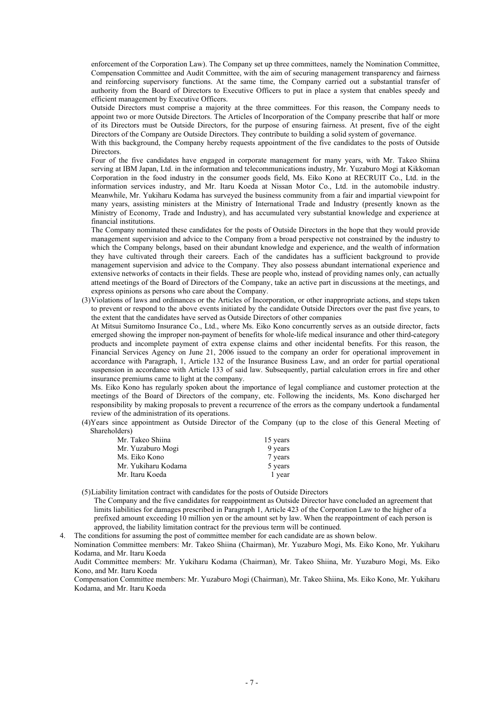enforcement of the Corporation Law). The Company set up three committees, namely the Nomination Committee, Compensation Committee and Audit Committee, with the aim of securing management transparency and fairness and reinforcing supervisory functions. At the same time, the Company carried out a substantial transfer of authority from the Board of Directors to Executive Officers to put in place a system that enables speedy and efficient management by Executive Officers.

Outside Directors must comprise a majority at the three committees. For this reason, the Company needs to appoint two or more Outside Directors. The Articles of Incorporation of the Company prescribe that half or more of its Directors must be Outside Directors, for the purpose of ensuring fairness. At present, five of the eight Directors of the Company are Outside Directors. They contribute to building a solid system of governance.

With this background, the Company hereby requests appointment of the five candidates to the posts of Outside Directors.

Four of the five candidates have engaged in corporate management for many years, with Mr. Takeo Shiina serving at IBM Japan, Ltd. in the information and telecommunications industry, Mr. Yuzaburo Mogi at Kikkoman Corporation in the food industry in the consumer goods field, Ms. Eiko Kono at RECRUIT Co., Ltd. in the information services industry, and Mr. Itaru Koeda at Nissan Motor Co., Ltd. in the automobile industry. Meanwhile, Mr. Yukiharu Kodama has surveyed the business community from a fair and impartial viewpoint for many years, assisting ministers at the Ministry of International Trade and Industry (presently known as the Ministry of Economy, Trade and Industry), and has accumulated very substantial knowledge and experience at financial institutions.

The Company nominated these candidates for the posts of Outside Directors in the hope that they would provide management supervision and advice to the Company from a broad perspective not constrained by the industry to which the Company belongs, based on their abundant knowledge and experience, and the wealth of information they have cultivated through their careers. Each of the candidates has a sufficient background to provide management supervision and advice to the Company. They also possess abundant international experience and extensive networks of contacts in their fields. These are people who, instead of providing names only, can actually attend meetings of the Board of Directors of the Company, take an active part in discussions at the meetings, and express opinions as persons who care about the Company.

 (3) Violations of laws and ordinances or the Articles of Incorporation, or other inappropriate actions, and steps taken to prevent or respond to the above events initiated by the candidate Outside Directors over the past five years, to the extent that the candidates have served as Outside Directors of other companies

At Mitsui Sumitomo Insurance Co., Ltd., where Ms. Eiko Kono concurrently serves as an outside director, facts emerged showing the improper non-payment of benefits for whole-life medical insurance and other third-category products and incomplete payment of extra expense claims and other incidental benefits. For this reason, the Financial Services Agency on June 21, 2006 issued to the company an order for operational improvement in accordance with Paragraph, 1, Article 132 of the Insurance Business Law, and an order for partial operational suspension in accordance with Article 133 of said law. Subsequently, partial calculation errors in fire and other insurance premiums came to light at the company.

Ms. Eiko Kono has regularly spoken about the importance of legal compliance and customer protection at the meetings of the Board of Directors of the company, etc. Following the incidents, Ms. Kono discharged her responsibility by making proposals to prevent a recurrence of the errors as the company undertook a fundamental review of the administration of its operations.

 (4)Years since appointment as Outside Director of the Company (up to the close of this General Meeting of Shareholders)

| Mr. Takeo Shiina    | 15 years |
|---------------------|----------|
| Mr. Yuzaburo Mogi   | 9 years  |
| Ms. Eiko Kono       | 7 years  |
| Mr. Yukiharu Kodama | 5 years  |
| Mr. Itaru Koeda     | 1 year   |

(5) Liability limitation contract with candidates for the posts of Outside Directors

 The Company and the five candidates for reappointment as Outside Director have concluded an agreement that limits liabilities for damages prescribed in Paragraph 1, Article 423 of the Corporation Law to the higher of a prefixed amount exceeding 10 million yen or the amount set by law. When the reappointment of each person is approved, the liability limitation contract for the previous term will be continued.

4. The conditions for assuming the post of committee member for each candidate are as shown below.

 Nomination Committee members: Mr. Takeo Shiina (Chairman), Mr. Yuzaburo Mogi, Ms. Eiko Kono, Mr. Yukiharu Kodama, and Mr. Itaru Koeda

 Audit Committee members: Mr. Yukiharu Kodama (Chairman), Mr. Takeo Shiina, Mr. Yuzaburo Mogi, Ms. Eiko Kono, and Mr. Itaru Koeda

 Compensation Committee members: Mr. Yuzaburo Mogi (Chairman), Mr. Takeo Shiina, Ms. Eiko Kono, Mr. Yukiharu Kodama, and Mr. Itaru Koeda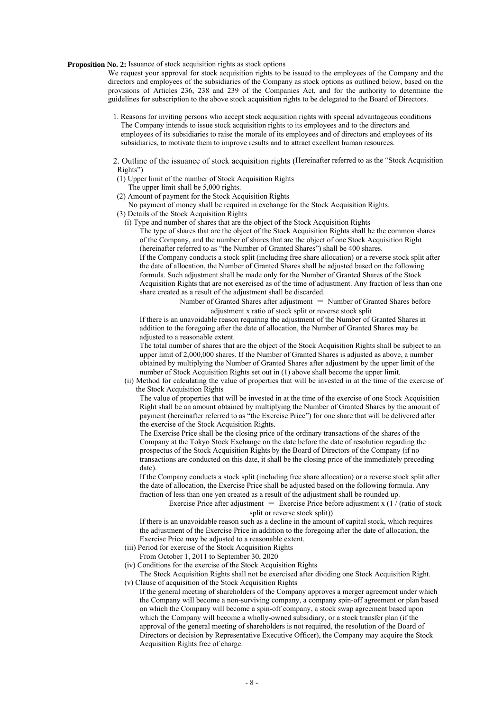# **Proposition No. 2:** Issuance of stock acquisition rights as stock options

We request your approval for stock acquisition rights to be issued to the employees of the Company and the directors and employees of the subsidiaries of the Company as stock options as outlined below, based on the provisions of Articles 236, 238 and 239 of the Companies Act, and for the authority to determine the guidelines for subscription to the above stock acquisition rights to be delegated to the Board of Directors.

- 1. Reasons for inviting persons who accept stock acquisition rights with special advantageous conditions The Company intends to issue stock acquisition rights to its employees and to the directors and employees of its subsidiaries to raise the morale of its employees and of directors and employees of its subsidiaries, to motivate them to improve results and to attract excellent human resources.
- 2. Outline of the issuance of stock acquisition rights (Hereinafter referred to as the "Stock Acquisition Rights")
- (1) Upper limit of the number of Stock Acquisition Rights
	- The upper limit shall be 5,000 rights.
- (2) Amount of payment for the Stock Acquisition Rights
- No payment of money shall be required in exchange for the Stock Acquisition Rights.
- (3) Details of the Stock Acquisition Rights
	- (i) Type and number of shares that are the object of the Stock Acquisition Rights

The type of shares that are the object of the Stock Acquisition Rights shall be the common shares of the Company, and the number of shares that are the object of one Stock Acquisition Right (hereinafter referred to as "the Number of Granted Shares") shall be 400 shares. If the Company conducts a stock split (including free share allocation) or a reverse stock split after the date of allocation, the Number of Granted Shares shall be adjusted based on the following formula. Such adjustment shall be made only for the Number of Granted Shares of the Stock Acquisition Rights that are not exercised as of the time of adjustment. Any fraction of less than one share created as a result of the adjustment shall be discarded.

> Number of Granted Shares after adjustment  $=$  Number of Granted Shares before adjustment x ratio of stock split or reverse stock split

If there is an unavoidable reason requiring the adjustment of the Number of Granted Shares in addition to the foregoing after the date of allocation, the Number of Granted Shares may be adjusted to a reasonable extent.

The total number of shares that are the object of the Stock Acquisition Rights shall be subject to an upper limit of 2,000,000 shares. If the Number of Granted Shares is adjusted as above, a number obtained by multiplying the Number of Granted Shares after adjustment by the upper limit of the number of Stock Acquisition Rights set out in (1) above shall become the upper limit.

 (ii) Method for calculating the value of properties that will be invested in at the time of the exercise of the Stock Acquisition Rights

The value of properties that will be invested in at the time of the exercise of one Stock Acquisition Right shall be an amount obtained by multiplying the Number of Granted Shares by the amount of payment (hereinafter referred to as "the Exercise Price") for one share that will be delivered after the exercise of the Stock Acquisition Rights.

The Exercise Price shall be the closing price of the ordinary transactions of the shares of the Company at the Tokyo Stock Exchange on the date before the date of resolution regarding the prospectus of the Stock Acquisition Rights by the Board of Directors of the Company (if no transactions are conducted on this date, it shall be the closing price of the immediately preceding date).

If the Company conducts a stock split (including free share allocation) or a reverse stock split after the date of allocation, the Exercise Price shall be adjusted based on the following formula. Any fraction of less than one yen created as a result of the adjustment shall be rounded up.

Exercise Price after adjustment = Exercise Price before adjustment x  $(1 / (ratio of stock$ split or reverse stock split))

If there is an unavoidable reason such as a decline in the amount of capital stock, which requires the adjustment of the Exercise Price in addition to the foregoing after the date of allocation, the Exercise Price may be adjusted to a reasonable extent.

- (iii) Period for exercise of the Stock Acquisition Rights
- From October 1, 2011 to September 30, 2020
- (iv) Conditions for the exercise of the Stock Acquisition Rights
- The Stock Acquisition Rights shall not be exercised after dividing one Stock Acquisition Right. (v) Clause of acquisition of the Stock Acquisition Rights
	- If the general meeting of shareholders of the Company approves a merger agreement under which the Company will become a non-surviving company, a company spin-off agreement or plan based on which the Company will become a spin-off company, a stock swap agreement based upon which the Company will become a wholly-owned subsidiary, or a stock transfer plan (if the approval of the general meeting of shareholders is not required, the resolution of the Board of Directors or decision by Representative Executive Officer), the Company may acquire the Stock Acquisition Rights free of charge.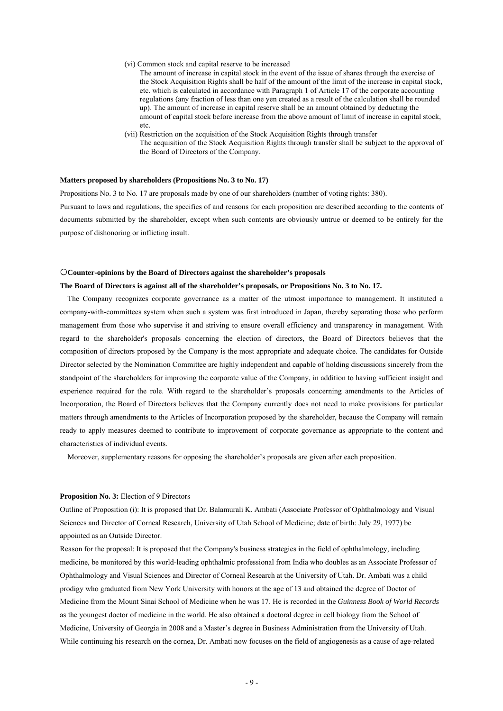#### (vi) Common stock and capital reserve to be increased

- The amount of increase in capital stock in the event of the issue of shares through the exercise of the Stock Acquisition Rights shall be half of the amount of the limit of the increase in capital stock, etc. which is calculated in accordance with Paragraph 1 of Article 17 of the corporate accounting regulations (any fraction of less than one yen created as a result of the calculation shall be rounded up). The amount of increase in capital reserve shall be an amount obtained by deducting the amount of capital stock before increase from the above amount of limit of increase in capital stock, etc.
- (vii) Restriction on the acquisition of the Stock Acquisition Rights through transfer The acquisition of the Stock Acquisition Rights through transfer shall be subject to the approval of the Board of Directors of the Company.

# **Matters proposed by shareholders (Propositions No. 3 to No. 17)**

Propositions No. 3 to No. 17 are proposals made by one of our shareholders (number of voting rights: 380). Pursuant to laws and regulations, the specifics of and reasons for each proposition are described according to the contents of documents submitted by the shareholder, except when such contents are obviously untrue or deemed to be entirely for the purpose of dishonoring or inflicting insult.

#### ○**Counter-opinions by the Board of Directors against the shareholder's proposals**

#### **The Board of Directors is against all of the shareholder's proposals, or Propositions No. 3 to No. 17.**

The Company recognizes corporate governance as a matter of the utmost importance to management. It instituted a company-with-committees system when such a system was first introduced in Japan, thereby separating those who perform management from those who supervise it and striving to ensure overall efficiency and transparency in management. With regard to the shareholder's proposals concerning the election of directors, the Board of Directors believes that the composition of directors proposed by the Company is the most appropriate and adequate choice. The candidates for Outside Director selected by the Nomination Committee are highly independent and capable of holding discussions sincerely from the standpoint of the shareholders for improving the corporate value of the Company, in addition to having sufficient insight and experience required for the role. With regard to the shareholder's proposals concerning amendments to the Articles of Incorporation, the Board of Directors believes that the Company currently does not need to make provisions for particular matters through amendments to the Articles of Incorporation proposed by the shareholder, because the Company will remain ready to apply measures deemed to contribute to improvement of corporate governance as appropriate to the content and characteristics of individual events.

Moreover, supplementary reasons for opposing the shareholder's proposals are given after each proposition.

#### **Proposition No. 3:** Election of 9 Directors

Outline of Proposition (i): It is proposed that Dr. Balamurali K. Ambati (Associate Professor of Ophthalmology and Visual Sciences and Director of Corneal Research, University of Utah School of Medicine; date of birth: July 29, 1977) be appointed as an Outside Director.

Reason for the proposal: It is proposed that the Company's business strategies in the field of ophthalmology, including medicine, be monitored by this world-leading ophthalmic professional from India who doubles as an Associate Professor of Ophthalmology and Visual Sciences and Director of Corneal Research at the University of Utah. Dr. Ambati was a child prodigy who graduated from New York University with honors at the age of 13 and obtained the degree of Doctor of Medicine from the Mount Sinai School of Medicine when he was 17. He is recorded in the *Guinness Book of World Records* as the youngest doctor of medicine in the world. He also obtained a doctoral degree in cell biology from the School of Medicine, University of Georgia in 2008 and a Master's degree in Business Administration from the University of Utah. While continuing his research on the cornea, Dr. Ambati now focuses on the field of angiogenesis as a cause of age-related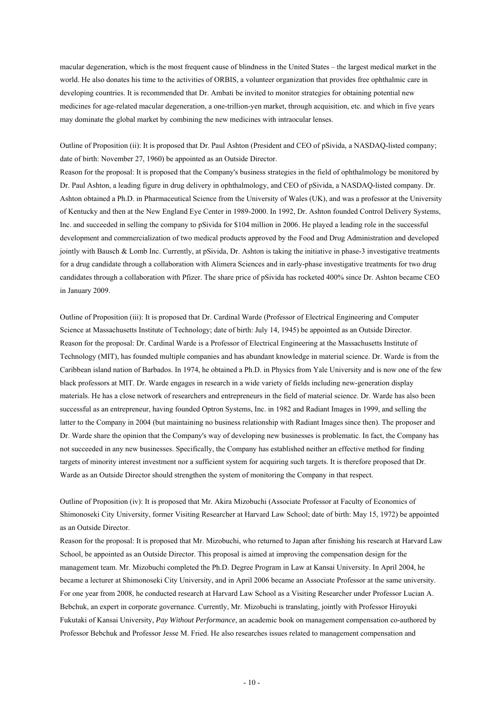macular degeneration, which is the most frequent cause of blindness in the United States – the largest medical market in the world. He also donates his time to the activities of ORBIS, a volunteer organization that provides free ophthalmic care in developing countries. It is recommended that Dr. Ambati be invited to monitor strategies for obtaining potential new medicines for age-related macular degeneration, a one-trillion-yen market, through acquisition, etc. and which in five years may dominate the global market by combining the new medicines with intraocular lenses.

Outline of Proposition (ii): It is proposed that Dr. Paul Ashton (President and CEO of pSivida, a NASDAQ-listed company; date of birth: November 27, 1960) be appointed as an Outside Director.

Reason for the proposal: It is proposed that the Company's business strategies in the field of ophthalmology be monitored by Dr. Paul Ashton, a leading figure in drug delivery in ophthalmology, and CEO of pSivida, a NASDAQ-listed company. Dr. Ashton obtained a Ph.D. in Pharmaceutical Science from the University of Wales (UK), and was a professor at the University of Kentucky and then at the New England Eye Center in 1989-2000. In 1992, Dr. Ashton founded Control Delivery Systems, Inc. and succeeded in selling the company to pSivida for \$104 million in 2006. He played a leading role in the successful development and commercialization of two medical products approved by the Food and Drug Administration and developed jointly with Bausch & Lomb Inc. Currently, at pSivida, Dr. Ashton is taking the initiative in phase-3 investigative treatments for a drug candidate through a collaboration with Alimera Sciences and in early-phase investigative treatments for two drug candidates through a collaboration with Pfizer. The share price of pSivida has rocketed 400% since Dr. Ashton became CEO in January 2009.

Outline of Proposition (iii): It is proposed that Dr. Cardinal Warde (Professor of Electrical Engineering and Computer Science at Massachusetts Institute of Technology; date of birth: July 14, 1945) be appointed as an Outside Director. Reason for the proposal: Dr. Cardinal Warde is a Professor of Electrical Engineering at the Massachusetts Institute of Technology (MIT), has founded multiple companies and has abundant knowledge in material science. Dr. Warde is from the Caribbean island nation of Barbados. In 1974, he obtained a Ph.D. in Physics from Yale University and is now one of the few black professors at MIT. Dr. Warde engages in research in a wide variety of fields including new-generation display materials. He has a close network of researchers and entrepreneurs in the field of material science. Dr. Warde has also been successful as an entrepreneur, having founded Optron Systems, Inc. in 1982 and Radiant Images in 1999, and selling the latter to the Company in 2004 (but maintaining no business relationship with Radiant Images since then). The proposer and Dr. Warde share the opinion that the Company's way of developing new businesses is problematic. In fact, the Company has not succeeded in any new businesses. Specifically, the Company has established neither an effective method for finding targets of minority interest investment nor a sufficient system for acquiring such targets. It is therefore proposed that Dr. Warde as an Outside Director should strengthen the system of monitoring the Company in that respect.

Outline of Proposition (iv): It is proposed that Mr. Akira Mizobuchi (Associate Professor at Faculty of Economics of Shimonoseki City University, former Visiting Researcher at Harvard Law School; date of birth: May 15, 1972) be appointed as an Outside Director.

Reason for the proposal: It is proposed that Mr. Mizobuchi, who returned to Japan after finishing his research at Harvard Law School, be appointed as an Outside Director. This proposal is aimed at improving the compensation design for the management team. Mr. Mizobuchi completed the Ph.D. Degree Program in Law at Kansai University. In April 2004, he became a lecturer at Shimonoseki City University, and in April 2006 became an Associate Professor at the same university. For one year from 2008, he conducted research at Harvard Law School as a Visiting Researcher under Professor Lucian A. Bebchuk, an expert in corporate governance. Currently, Mr. Mizobuchi is translating, jointly with Professor Hiroyuki Fukutaki of Kansai University, *Pay Without Performance*, an academic book on management compensation co-authored by Professor Bebchuk and Professor Jesse M. Fried. He also researches issues related to management compensation and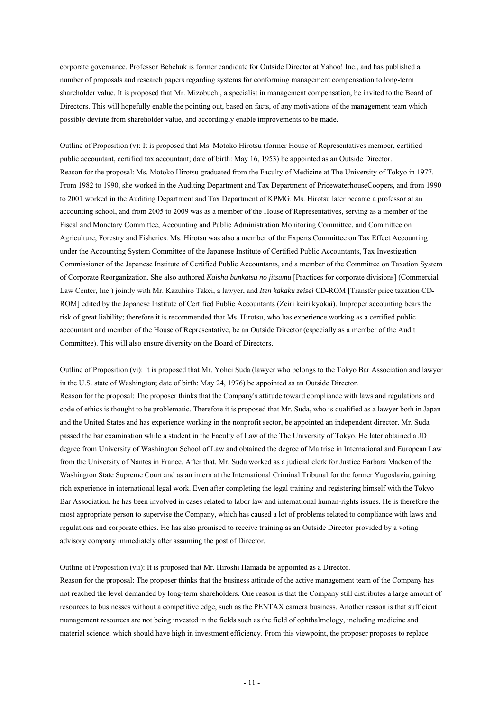corporate governance. Professor Bebchuk is former candidate for Outside Director at Yahoo! Inc., and has published a number of proposals and research papers regarding systems for conforming management compensation to long-term shareholder value. It is proposed that Mr. Mizobuchi, a specialist in management compensation, be invited to the Board of Directors. This will hopefully enable the pointing out, based on facts, of any motivations of the management team which possibly deviate from shareholder value, and accordingly enable improvements to be made.

Outline of Proposition (v): It is proposed that Ms. Motoko Hirotsu (former House of Representatives member, certified public accountant, certified tax accountant; date of birth: May 16, 1953) be appointed as an Outside Director. Reason for the proposal: Ms. Motoko Hirotsu graduated from the Faculty of Medicine at The University of Tokyo in 1977. From 1982 to 1990, she worked in the Auditing Department and Tax Department of PricewaterhouseCoopers, and from 1990 to 2001 worked in the Auditing Department and Tax Department of KPMG. Ms. Hirotsu later became a professor at an accounting school, and from 2005 to 2009 was as a member of the House of Representatives, serving as a member of the Fiscal and Monetary Committee, Accounting and Public Administration Monitoring Committee, and Committee on Agriculture, Forestry and Fisheries. Ms. Hirotsu was also a member of the Experts Committee on Tax Effect Accounting under the Accounting System Committee of the Japanese Institute of Certified Public Accountants, Tax Investigation Commissioner of the Japanese Institute of Certified Public Accountants, and a member of the Committee on Taxation System of Corporate Reorganization. She also authored *Kaisha bunkatsu no jitsumu* [Practices for corporate divisions] (Commercial Law Center, Inc.) jointly with Mr. Kazuhiro Takei, a lawyer, and *Iten kakaku zeisei* CD-ROM [Transfer price taxation CD-ROM] edited by the Japanese Institute of Certified Public Accountants (Zeiri keiri kyokai). Improper accounting bears the risk of great liability; therefore it is recommended that Ms. Hirotsu, who has experience working as a certified public accountant and member of the House of Representative, be an Outside Director (especially as a member of the Audit Committee). This will also ensure diversity on the Board of Directors.

Outline of Proposition (vi): It is proposed that Mr. Yohei Suda (lawyer who belongs to the Tokyo Bar Association and lawyer in the U.S. state of Washington; date of birth: May 24, 1976) be appointed as an Outside Director. Reason for the proposal: The proposer thinks that the Company's attitude toward compliance with laws and regulations and code of ethics is thought to be problematic. Therefore it is proposed that Mr. Suda, who is qualified as a lawyer both in Japan and the United States and has experience working in the nonprofit sector, be appointed an independent director. Mr. Suda passed the bar examination while a student in the Faculty of Law of the The University of Tokyo. He later obtained a JD degree from University of Washington School of Law and obtained the degree of Maitrise in International and European Law from the University of Nantes in France. After that, Mr. Suda worked as a judicial clerk for Justice Barbara Madsen of the Washington State Supreme Court and as an intern at the International Criminal Tribunal for the former Yugoslavia, gaining rich experience in international legal work. Even after completing the legal training and registering himself with the Tokyo Bar Association, he has been involved in cases related to labor law and international human-rights issues. He is therefore the most appropriate person to supervise the Company, which has caused a lot of problems related to compliance with laws and regulations and corporate ethics. He has also promised to receive training as an Outside Director provided by a voting advisory company immediately after assuming the post of Director.

# Outline of Proposition (vii): It is proposed that Mr. Hiroshi Hamada be appointed as a Director.

Reason for the proposal: The proposer thinks that the business attitude of the active management team of the Company has not reached the level demanded by long-term shareholders. One reason is that the Company still distributes a large amount of resources to businesses without a competitive edge, such as the PENTAX camera business. Another reason is that sufficient management resources are not being invested in the fields such as the field of ophthalmology, including medicine and material science, which should have high in investment efficiency. From this viewpoint, the proposer proposes to replace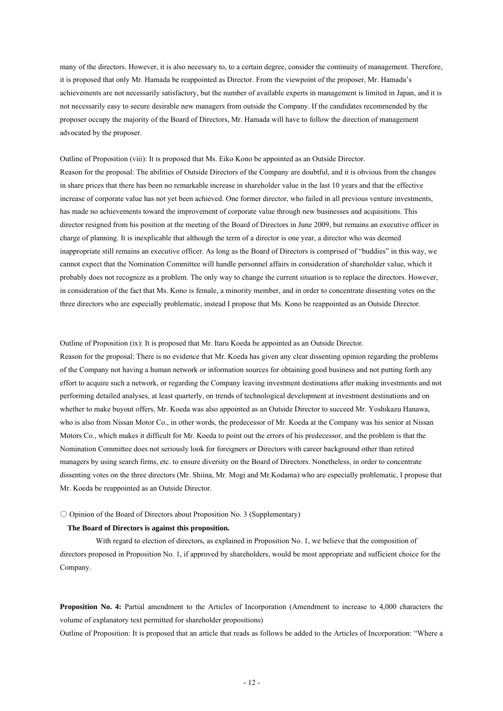many of the directors. However, it is also necessary to, to a certain degree, consider the continuity of management. Therefore, it is proposed that only Mr. Hamada be reappointed as Director. From the viewpoint of the proposer, Mr. Hamada's achievements are not necessarily satisfactory, but the number of available experts in management is limited in Japan, and it is not necessarily easy to secure desirable new managers from outside the Company. If the candidates recommended by the proposer occupy the majority of the Board of Directors, Mr. Hamada will have to follow the direction of management advocated by the proposer.

Outline of Proposition (viii): It is proposed that Ms. Eiko Kono be appointed as an Outside Director. Reason for the proposal: The abilities of Outside Directors of the Company are doubtful, and it is obvious from the changes in share prices that there has been no remarkable increase in shareholder value in the last 10 years and that the effective increase of corporate value has not yet been achieved. One former director, who failed in all previous venture investments, has made no achievements toward the improvement of corporate value through new businesses and acquisitions. This director resigned from his position at the meeting of the Board of Directors in June 2009, but remains an executive officer in charge of planning. It is inexplicable that although the term of a director is one year, a director who was deemed inappropriate still remains an executive officer. As long as the Board of Directors is comprised of "buddies" in this way, we cannot expect that the Nomination Committee will handle personnel affairs in consideration of shareholder value, which it probably does not recognize as a problem. The only way to change the current situation is to replace the directors. However, in consideration of the fact that Ms. Kono is female, a minority member, and in order to concentrate dissenting votes on the three directors who are especially problematic, instead I propose that Ms. Kono be reappointed as an Outside Director.

Outline of Proposition (ix): It is proposed that Mr. Itaru Koeda be appointed as an Outside Director.

Reason for the proposal: There is no evidence that Mr. Koeda has given any clear dissenting opinion regarding the problems of the Company not having a human network or information sources for obtaining good business and not putting forth any effort to acquire such a network, or regarding the Company leaving investment destinations after making investments and not performing detailed analyses, at least quarterly, on trends of technological development at investment destinations and on whether to make buyout offers, Mr. Koeda was also appointed as an Outside Director to succeed Mr. Yoshikazu Hanawa, who is also from Nissan Motor Co., in other words, the predecessor of Mr. Koeda at the Company was his senior at Nissan Motors Co., which makes it difficult for Mr. Koeda to point out the errors of his predecessor, and the problem is that the Nomination Committee does not seriously look for foreigners or Directors with career background other than retired managers by using search firms, etc. to ensure diversity on the Board of Directors. Nonetheless, in order to concentrate dissenting votes on the three directors (Mr. Shiina, Mr. Mogi and Mr.Kodama) who are especially problematic, I propose that Mr. Koeda be reappointed as an Outside Director.

# $\circ$  Opinion of the Board of Directors about Proposition No. 3 (Supplementary)

#### **The Board of Directors is against this proposition.**

With regard to election of directors, as explained in Proposition No. 1, we believe that the composition of directors proposed in Proposition No. 1, if approved by shareholders, would be most appropriate and sufficient choice for the Company.

**Proposition No. 4:** Partial amendment to the Articles of Incorporation (Amendment to increase to 4,000 characters the volume of explanatory text permitted for shareholder propositions)

Outline of Proposition: It is proposed that an article that reads as follows be added to the Articles of Incorporation: "Where a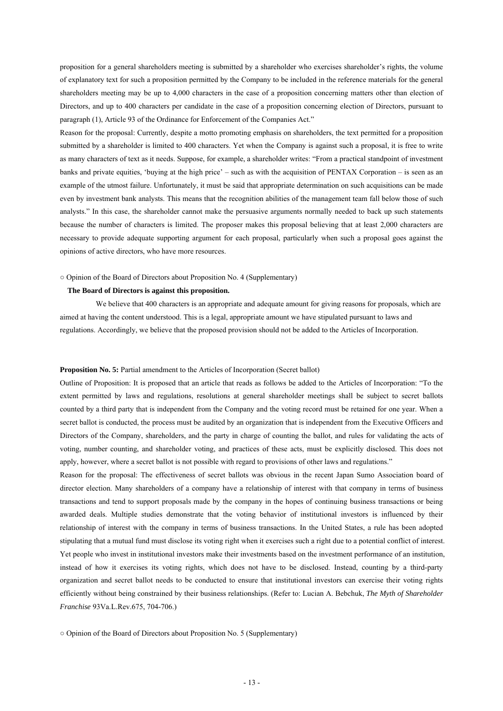proposition for a general shareholders meeting is submitted by a shareholder who exercises shareholder's rights, the volume of explanatory text for such a proposition permitted by the Company to be included in the reference materials for the general shareholders meeting may be up to 4,000 characters in the case of a proposition concerning matters other than election of Directors, and up to 400 characters per candidate in the case of a proposition concerning election of Directors, pursuant to paragraph (1), Article 93 of the Ordinance for Enforcement of the Companies Act."

Reason for the proposal: Currently, despite a motto promoting emphasis on shareholders, the text permitted for a proposition submitted by a shareholder is limited to 400 characters. Yet when the Company is against such a proposal, it is free to write as many characters of text as it needs. Suppose, for example, a shareholder writes: "From a practical standpoint of investment banks and private equities, 'buying at the high price' – such as with the acquisition of PENTAX Corporation – is seen as an example of the utmost failure. Unfortunately, it must be said that appropriate determination on such acquisitions can be made even by investment bank analysts. This means that the recognition abilities of the management team fall below those of such analysts." In this case, the shareholder cannot make the persuasive arguments normally needed to back up such statements because the number of characters is limited. The proposer makes this proposal believing that at least 2,000 characters are necessary to provide adequate supporting argument for each proposal, particularly when such a proposal goes against the opinions of active directors, who have more resources.

## ○ Opinion of the Board of Directors about Proposition No. 4 (Supplementary)

# **The Board of Directors is against this proposition.**

We believe that 400 characters is an appropriate and adequate amount for giving reasons for proposals, which are aimed at having the content understood. This is a legal, appropriate amount we have stipulated pursuant to laws and regulations. Accordingly, we believe that the proposed provision should not be added to the Articles of Incorporation.

### **Proposition No. 5:** Partial amendment to the Articles of Incorporation (Secret ballot)

Outline of Proposition: It is proposed that an article that reads as follows be added to the Articles of Incorporation: "To the extent permitted by laws and regulations, resolutions at general shareholder meetings shall be subject to secret ballots counted by a third party that is independent from the Company and the voting record must be retained for one year. When a secret ballot is conducted, the process must be audited by an organization that is independent from the Executive Officers and Directors of the Company, shareholders, and the party in charge of counting the ballot, and rules for validating the acts of voting, number counting, and shareholder voting, and practices of these acts, must be explicitly disclosed. This does not apply, however, where a secret ballot is not possible with regard to provisions of other laws and regulations."

Reason for the proposal: The effectiveness of secret ballots was obvious in the recent Japan Sumo Association board of director election. Many shareholders of a company have a relationship of interest with that company in terms of business transactions and tend to support proposals made by the company in the hopes of continuing business transactions or being awarded deals. Multiple studies demonstrate that the voting behavior of institutional investors is influenced by their relationship of interest with the company in terms of business transactions. In the United States, a rule has been adopted stipulating that a mutual fund must disclose its voting right when it exercises such a right due to a potential conflict of interest. Yet people who invest in institutional investors make their investments based on the investment performance of an institution, instead of how it exercises its voting rights, which does not have to be disclosed. Instead, counting by a third-party organization and secret ballot needs to be conducted to ensure that institutional investors can exercise their voting rights efficiently without being constrained by their business relationships. (Refer to: Lucian A. Bebchuk, *The Myth of Shareholder Franchise* 93Va.L.Rev.675, 704-706.)

○ Opinion of the Board of Directors about Proposition No. 5 (Supplementary)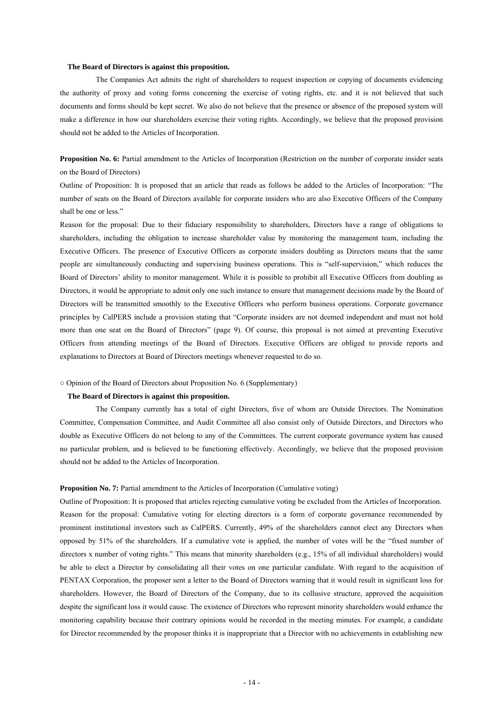### **The Board of Directors is against this proposition.**

 The Companies Act admits the right of shareholders to request inspection or copying of documents evidencing the authority of proxy and voting forms concerning the exercise of voting rights, etc. and it is not believed that such documents and forms should be kept secret. We also do not believe that the presence or absence of the proposed system will make a difference in how our shareholders exercise their voting rights. Accordingly, we believe that the proposed provision should not be added to the Articles of Incorporation.

**Proposition No. 6:** Partial amendment to the Articles of Incorporation (Restriction on the number of corporate insider seats on the Board of Directors)

Outline of Proposition: It is proposed that an article that reads as follows be added to the Articles of Incorporation: "The number of seats on the Board of Directors available for corporate insiders who are also Executive Officers of the Company shall be one or less."

Reason for the proposal: Due to their fiduciary responsibility to shareholders, Directors have a range of obligations to shareholders, including the obligation to increase shareholder value by monitoring the management team, including the Executive Officers. The presence of Executive Officers as corporate insiders doubling as Directors means that the same people are simultaneously conducting and supervising business operations. This is "self-supervision," which reduces the Board of Directors' ability to monitor management. While it is possible to prohibit all Executive Officers from doubling as Directors, it would be appropriate to admit only one such instance to ensure that management decisions made by the Board of Directors will be transmitted smoothly to the Executive Officers who perform business operations. Corporate governance principles by CalPERS include a provision stating that "Corporate insiders are not deemed independent and must not hold more than one seat on the Board of Directors" (page 9). Of course, this proposal is not aimed at preventing Executive Officers from attending meetings of the Board of Directors. Executive Officers are obliged to provide reports and explanations to Directors at Board of Directors meetings whenever requested to do so.

# ○ Opinion of the Board of Directors about Proposition No. 6 (Supplementary)

# **The Board of Directors is against this proposition.**

 The Company currently has a total of eight Directors, five of whom are Outside Directors. The Nomination Committee, Compensation Committee, and Audit Committee all also consist only of Outside Directors, and Directors who double as Executive Officers do not belong to any of the Committees. The current corporate governance system has caused no particular problem, and is believed to be functioning effectively. Accordingly, we believe that the proposed provision should not be added to the Articles of Incorporation.

### **Proposition No. 7:** Partial amendment to the Articles of Incorporation (Cumulative voting)

Outline of Proposition: It is proposed that articles rejecting cumulative voting be excluded from the Articles of Incorporation. Reason for the proposal: Cumulative voting for electing directors is a form of corporate governance recommended by prominent institutional investors such as CalPERS. Currently, 49% of the shareholders cannot elect any Directors when opposed by 51% of the shareholders. If a cumulative vote is applied, the number of votes will be the "fixed number of directors x number of voting rights." This means that minority shareholders (e.g., 15% of all individual shareholders) would be able to elect a Director by consolidating all their votes on one particular candidate. With regard to the acquisition of PENTAX Corporation, the proposer sent a letter to the Board of Directors warning that it would result in significant loss for shareholders. However, the Board of Directors of the Company, due to its collusive structure, approved the acquisition despite the significant loss it would cause. The existence of Directors who represent minority shareholders would enhance the monitoring capability because their contrary opinions would be recorded in the meeting minutes. For example, a candidate for Director recommended by the proposer thinks it is inappropriate that a Director with no achievements in establishing new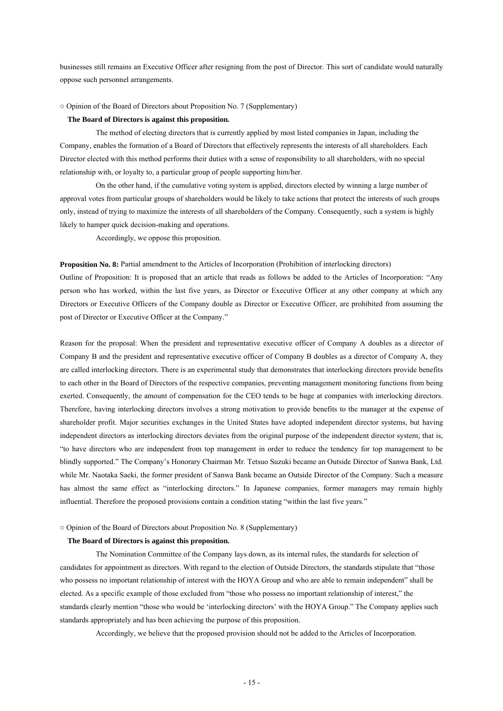businesses still remains an Executive Officer after resigning from the post of Director. This sort of candidate would naturally oppose such personnel arrangements.

○ Opinion of the Board of Directors about Proposition No. 7 (Supplementary)

# **The Board of Directors is against this proposition.**

 The method of electing directors that is currently applied by most listed companies in Japan, including the Company, enables the formation of a Board of Directors that effectively represents the interests of all shareholders. Each Director elected with this method performs their duties with a sense of responsibility to all shareholders, with no special relationship with, or loyalty to, a particular group of people supporting him/her.

 On the other hand, if the cumulative voting system is applied, directors elected by winning a large number of approval votes from particular groups of shareholders would be likely to take actions that protect the interests of such groups only, instead of trying to maximize the interests of all shareholders of the Company. Consequently, such a system is highly likely to hamper quick decision-making and operations.

Accordingly, we oppose this proposition.

**Proposition No. 8:** Partial amendment to the Articles of Incorporation (Prohibition of interlocking directors) Outline of Proposition: It is proposed that an article that reads as follows be added to the Articles of Incorporation: "Any person who has worked, within the last five years, as Director or Executive Officer at any other company at which any Directors or Executive Officers of the Company double as Director or Executive Officer, are prohibited from assuming the post of Director or Executive Officer at the Company."

Reason for the proposal: When the president and representative executive officer of Company A doubles as a director of Company B and the president and representative executive officer of Company B doubles as a director of Company A, they are called interlocking directors. There is an experimental study that demonstrates that interlocking directors provide benefits to each other in the Board of Directors of the respective companies, preventing management monitoring functions from being exerted. Consequently, the amount of compensation for the CEO tends to be huge at companies with interlocking directors. Therefore, having interlocking directors involves a strong motivation to provide benefits to the manager at the expense of shareholder profit. Major securities exchanges in the United States have adopted independent director systems, but having independent directors as interlocking directors deviates from the original purpose of the independent director system; that is, "to have directors who are independent from top management in order to reduce the tendency for top management to be blindly supported." The Company's Honorary Chairman Mr. Tetsuo Suzuki became an Outside Director of Sanwa Bank, Ltd. while Mr. Naotaka Saeki, the former president of Sanwa Bank became an Outside Director of the Company. Such a measure has almost the same effect as "interlocking directors." In Japanese companies, former managers may remain highly influential. Therefore the proposed provisions contain a condition stating "within the last five years."

#### ○ Opinion of the Board of Directors about Proposition No. 8 (Supplementary)

# **The Board of Directors is against this proposition.**

 The Nomination Committee of the Company lays down, as its internal rules, the standards for selection of candidates for appointment as directors. With regard to the election of Outside Directors, the standards stipulate that "those who possess no important relationship of interest with the HOYA Group and who are able to remain independent" shall be elected. As a specific example of those excluded from "those who possess no important relationship of interest," the standards clearly mention "those who would be 'interlocking directors' with the HOYA Group." The Company applies such standards appropriately and has been achieving the purpose of this proposition.

Accordingly, we believe that the proposed provision should not be added to the Articles of Incorporation.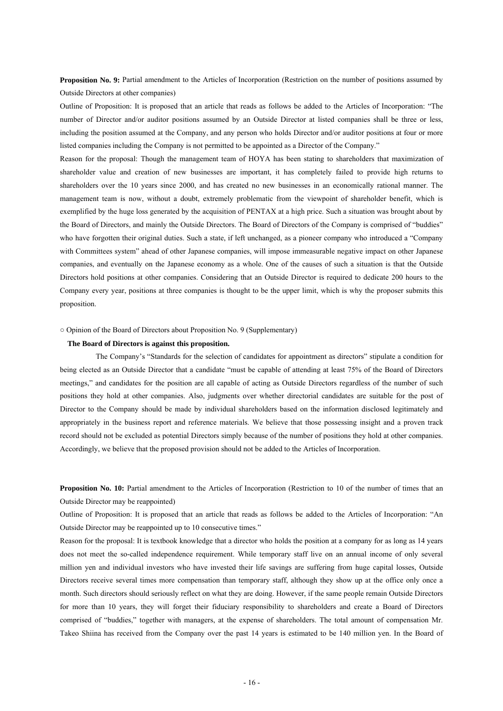**Proposition No. 9:** Partial amendment to the Articles of Incorporation (Restriction on the number of positions assumed by Outside Directors at other companies)

Outline of Proposition: It is proposed that an article that reads as follows be added to the Articles of Incorporation: "The number of Director and/or auditor positions assumed by an Outside Director at listed companies shall be three or less, including the position assumed at the Company, and any person who holds Director and/or auditor positions at four or more listed companies including the Company is not permitted to be appointed as a Director of the Company."

Reason for the proposal: Though the management team of HOYA has been stating to shareholders that maximization of shareholder value and creation of new businesses are important, it has completely failed to provide high returns to shareholders over the 10 years since 2000, and has created no new businesses in an economically rational manner. The management team is now, without a doubt, extremely problematic from the viewpoint of shareholder benefit, which is exemplified by the huge loss generated by the acquisition of PENTAX at a high price. Such a situation was brought about by the Board of Directors, and mainly the Outside Directors. The Board of Directors of the Company is comprised of "buddies" who have forgotten their original duties. Such a state, if left unchanged, as a pioneer company who introduced a "Company with Committees system" ahead of other Japanese companies, will impose immeasurable negative impact on other Japanese companies, and eventually on the Japanese economy as a whole. One of the causes of such a situation is that the Outside Directors hold positions at other companies. Considering that an Outside Director is required to dedicate 200 hours to the Company every year, positions at three companies is thought to be the upper limit, which is why the proposer submits this proposition.

○ Opinion of the Board of Directors about Proposition No. 9 (Supplementary)

#### **The Board of Directors is against this proposition.**

 The Company's "Standards for the selection of candidates for appointment as directors" stipulate a condition for being elected as an Outside Director that a candidate "must be capable of attending at least 75% of the Board of Directors meetings," and candidates for the position are all capable of acting as Outside Directors regardless of the number of such positions they hold at other companies. Also, judgments over whether directorial candidates are suitable for the post of Director to the Company should be made by individual shareholders based on the information disclosed legitimately and appropriately in the business report and reference materials. We believe that those possessing insight and a proven track record should not be excluded as potential Directors simply because of the number of positions they hold at other companies. Accordingly, we believe that the proposed provision should not be added to the Articles of Incorporation.

**Proposition No. 10:** Partial amendment to the Articles of Incorporation (Restriction to 10 of the number of times that an Outside Director may be reappointed)

Outline of Proposition: It is proposed that an article that reads as follows be added to the Articles of Incorporation: "An Outside Director may be reappointed up to 10 consecutive times."

Reason for the proposal: It is textbook knowledge that a director who holds the position at a company for as long as 14 years does not meet the so-called independence requirement. While temporary staff live on an annual income of only several million yen and individual investors who have invested their life savings are suffering from huge capital losses, Outside Directors receive several times more compensation than temporary staff, although they show up at the office only once a month. Such directors should seriously reflect on what they are doing. However, if the same people remain Outside Directors for more than 10 years, they will forget their fiduciary responsibility to shareholders and create a Board of Directors comprised of "buddies," together with managers, at the expense of shareholders. The total amount of compensation Mr. Takeo Shiina has received from the Company over the past 14 years is estimated to be 140 million yen. In the Board of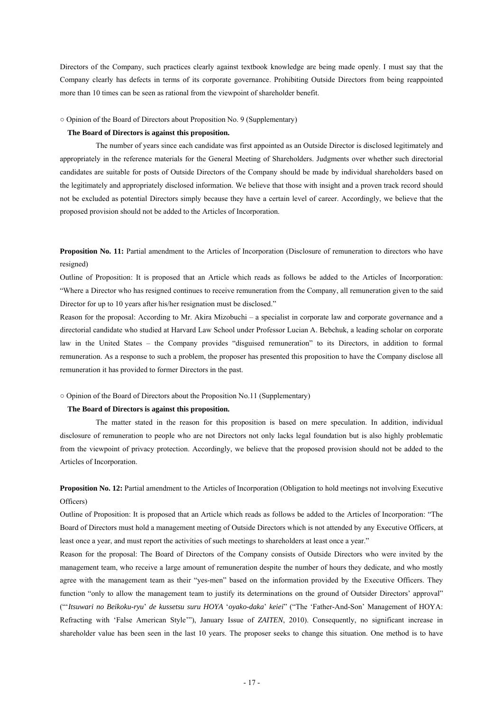Directors of the Company, such practices clearly against textbook knowledge are being made openly. I must say that the Company clearly has defects in terms of its corporate governance. Prohibiting Outside Directors from being reappointed more than 10 times can be seen as rational from the viewpoint of shareholder benefit.

# ○ Opinion of the Board of Directors about Proposition No. 9 (Supplementary)

#### **The Board of Directors is against this proposition.**

 The number of years since each candidate was first appointed as an Outside Director is disclosed legitimately and appropriately in the reference materials for the General Meeting of Shareholders. Judgments over whether such directorial candidates are suitable for posts of Outside Directors of the Company should be made by individual shareholders based on the legitimately and appropriately disclosed information. We believe that those with insight and a proven track record should not be excluded as potential Directors simply because they have a certain level of career. Accordingly, we believe that the proposed provision should not be added to the Articles of Incorporation.

**Proposition No. 11:** Partial amendment to the Articles of Incorporation (Disclosure of remuneration to directors who have resigned)

Outline of Proposition: It is proposed that an Article which reads as follows be added to the Articles of Incorporation: "Where a Director who has resigned continues to receive remuneration from the Company, all remuneration given to the said Director for up to 10 years after his/her resignation must be disclosed."

Reason for the proposal: According to Mr. Akira Mizobuchi – a specialist in corporate law and corporate governance and a directorial candidate who studied at Harvard Law School under Professor Lucian A. Bebchuk, a leading scholar on corporate law in the United States – the Company provides "disguised remuneration" to its Directors, in addition to formal remuneration. As a response to such a problem, the proposer has presented this proposition to have the Company disclose all remuneration it has provided to former Directors in the past.

# ○ Opinion of the Board of Directors about the Proposition No.11 (Supplementary)

### **The Board of Directors is against this proposition.**

 The matter stated in the reason for this proposition is based on mere speculation. In addition, individual disclosure of remuneration to people who are not Directors not only lacks legal foundation but is also highly problematic from the viewpoint of privacy protection. Accordingly, we believe that the proposed provision should not be added to the Articles of Incorporation.

**Proposition No. 12:** Partial amendment to the Articles of Incorporation (Obligation to hold meetings not involving Executive Officers)

Outline of Proposition: It is proposed that an Article which reads as follows be added to the Articles of Incorporation: "The Board of Directors must hold a management meeting of Outside Directors which is not attended by any Executive Officers, at least once a year, and must report the activities of such meetings to shareholders at least once a year."

Reason for the proposal: The Board of Directors of the Company consists of Outside Directors who were invited by the management team, who receive a large amount of remuneration despite the number of hours they dedicate, and who mostly agree with the management team as their "yes-men" based on the information provided by the Executive Officers. They function "only to allow the management team to justify its determinations on the ground of Outsider Directors' approval" ("'*Itsuwari no Beikoku-ryu*' *de kussetsu suru HOYA* '*oyako-daka*' *keiei*" ("The 'Father-And-Son' Management of HOYA: Refracting with 'False American Style'"), January Issue of *ZAITEN*, 2010). Consequently, no significant increase in shareholder value has been seen in the last 10 years. The proposer seeks to change this situation. One method is to have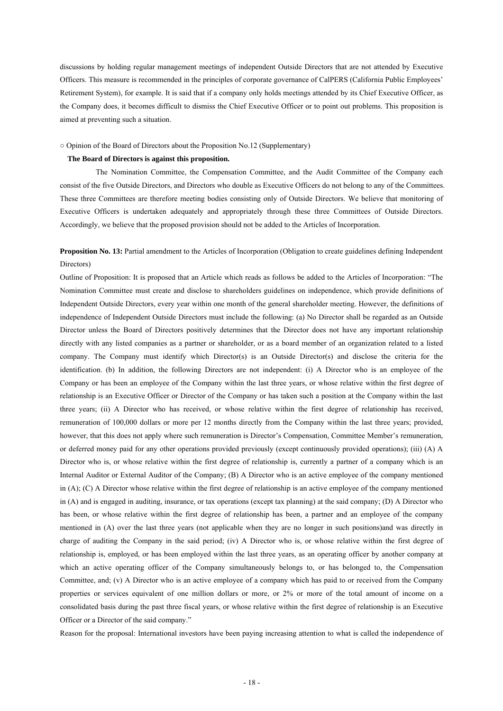discussions by holding regular management meetings of independent Outside Directors that are not attended by Executive Officers. This measure is recommended in the principles of corporate governance of CalPERS (California Public Employees' Retirement System), for example. It is said that if a company only holds meetings attended by its Chief Executive Officer, as the Company does, it becomes difficult to dismiss the Chief Executive Officer or to point out problems. This proposition is aimed at preventing such a situation.

#### ○ Opinion of the Board of Directors about the Proposition No.12 (Supplementary)

# **The Board of Directors is against this proposition.**

 The Nomination Committee, the Compensation Committee, and the Audit Committee of the Company each consist of the five Outside Directors, and Directors who double as Executive Officers do not belong to any of the Committees. These three Committees are therefore meeting bodies consisting only of Outside Directors. We believe that monitoring of Executive Officers is undertaken adequately and appropriately through these three Committees of Outside Directors. Accordingly, we believe that the proposed provision should not be added to the Articles of Incorporation.

# **Proposition No. 13:** Partial amendment to the Articles of Incorporation (Obligation to create guidelines defining Independent Directors)

Outline of Proposition: It is proposed that an Article which reads as follows be added to the Articles of Incorporation: "The Nomination Committee must create and disclose to shareholders guidelines on independence, which provide definitions of Independent Outside Directors, every year within one month of the general shareholder meeting. However, the definitions of independence of Independent Outside Directors must include the following: (a) No Director shall be regarded as an Outside Director unless the Board of Directors positively determines that the Director does not have any important relationship directly with any listed companies as a partner or shareholder, or as a board member of an organization related to a listed company. The Company must identify which Director(s) is an Outside Director(s) and disclose the criteria for the identification. (b) In addition, the following Directors are not independent: (i) A Director who is an employee of the Company or has been an employee of the Company within the last three years, or whose relative within the first degree of relationship is an Executive Officer or Director of the Company or has taken such a position at the Company within the last three years; (ii) A Director who has received, or whose relative within the first degree of relationship has received, remuneration of 100,000 dollars or more per 12 months directly from the Company within the last three years; provided, however, that this does not apply where such remuneration is Director's Compensation, Committee Member's remuneration, or deferred money paid for any other operations provided previously (except continuously provided operations); (iii) (A) A Director who is, or whose relative within the first degree of relationship is, currently a partner of a company which is an Internal Auditor or External Auditor of the Company; (B) A Director who is an active employee of the company mentioned in (A); (C) A Director whose relative within the first degree of relationship is an active employee of the company mentioned in (A) and is engaged in auditing, insurance, or tax operations (except tax planning) at the said company; (D) A Director who has been, or whose relative within the first degree of relationship has been, a partner and an employee of the company mentioned in (A) over the last three years (not applicable when they are no longer in such positions)and was directly in charge of auditing the Company in the said period; (iv) A Director who is, or whose relative within the first degree of relationship is, employed, or has been employed within the last three years, as an operating officer by another company at which an active operating officer of the Company simultaneously belongs to, or has belonged to, the Compensation Committee, and; (v) A Director who is an active employee of a company which has paid to or received from the Company properties or services equivalent of one million dollars or more, or 2% or more of the total amount of income on a consolidated basis during the past three fiscal years, or whose relative within the first degree of relationship is an Executive Officer or a Director of the said company."

Reason for the proposal: International investors have been paying increasing attention to what is called the independence of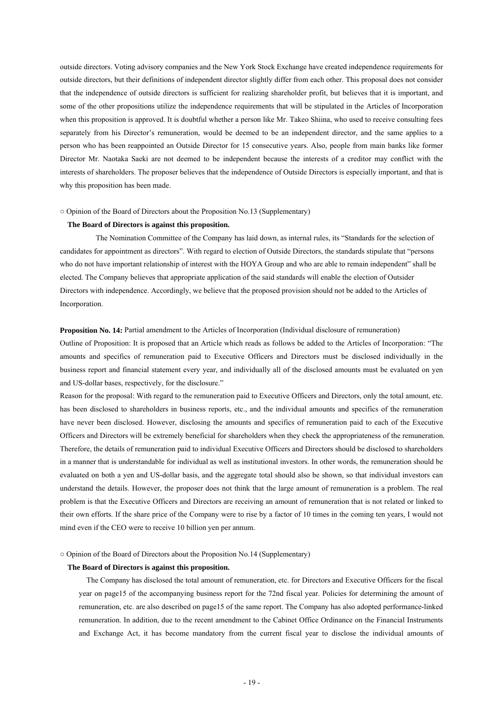outside directors. Voting advisory companies and the New York Stock Exchange have created independence requirements for outside directors, but their definitions of independent director slightly differ from each other. This proposal does not consider that the independence of outside directors is sufficient for realizing shareholder profit, but believes that it is important, and some of the other propositions utilize the independence requirements that will be stipulated in the Articles of Incorporation when this proposition is approved. It is doubtful whether a person like Mr. Takeo Shiina, who used to receive consulting fees separately from his Director's remuneration, would be deemed to be an independent director, and the same applies to a person who has been reappointed an Outside Director for 15 consecutive years. Also, people from main banks like former Director Mr. Naotaka Saeki are not deemed to be independent because the interests of a creditor may conflict with the interests of shareholders. The proposer believes that the independence of Outside Directors is especially important, and that is why this proposition has been made.

# ○ Opinion of the Board of Directors about the Proposition No.13 (Supplementary)

#### **The Board of Directors is against this proposition.**

 The Nomination Committee of the Company has laid down, as internal rules, its "Standards for the selection of candidates for appointment as directors". With regard to election of Outside Directors, the standards stipulate that "persons who do not have important relationship of interest with the HOYA Group and who are able to remain independent" shall be elected. The Company believes that appropriate application of the said standards will enable the election of Outsider Directors with independence. Accordingly, we believe that the proposed provision should not be added to the Articles of Incorporation.

# **Proposition No. 14:** Partial amendment to the Articles of Incorporation (Individual disclosure of remuneration)

Outline of Proposition: It is proposed that an Article which reads as follows be added to the Articles of Incorporation: "The amounts and specifics of remuneration paid to Executive Officers and Directors must be disclosed individually in the business report and financial statement every year, and individually all of the disclosed amounts must be evaluated on yen and US-dollar bases, respectively, for the disclosure."

Reason for the proposal: With regard to the remuneration paid to Executive Officers and Directors, only the total amount, etc. has been disclosed to shareholders in business reports, etc., and the individual amounts and specifics of the remuneration have never been disclosed. However, disclosing the amounts and specifics of remuneration paid to each of the Executive Officers and Directors will be extremely beneficial for shareholders when they check the appropriateness of the remuneration. Therefore, the details of remuneration paid to individual Executive Officers and Directors should be disclosed to shareholders in a manner that is understandable for individual as well as institutional investors. In other words, the remuneration should be evaluated on both a yen and US-dollar basis, and the aggregate total should also be shown, so that individual investors can understand the details. However, the proposer does not think that the large amount of remuneration is a problem. The real problem is that the Executive Officers and Directors are receiving an amount of remuneration that is not related or linked to their own efforts. If the share price of the Company were to rise by a factor of 10 times in the coming ten years, I would not mind even if the CEO were to receive 10 billion yen per annum.

#### ○ Opinion of the Board of Directors about the Proposition No.14 (Supplementary)

### **The Board of Directors is against this proposition.**

 The Company has disclosed the total amount of remuneration, etc. for Directors and Executive Officers for the fiscal year on page15 of the accompanying business report for the 72nd fiscal year. Policies for determining the amount of remuneration, etc. are also described on page15 of the same report. The Company has also adopted performance-linked remuneration. In addition, due to the recent amendment to the Cabinet Office Ordinance on the Financial Instruments and Exchange Act, it has become mandatory from the current fiscal year to disclose the individual amounts of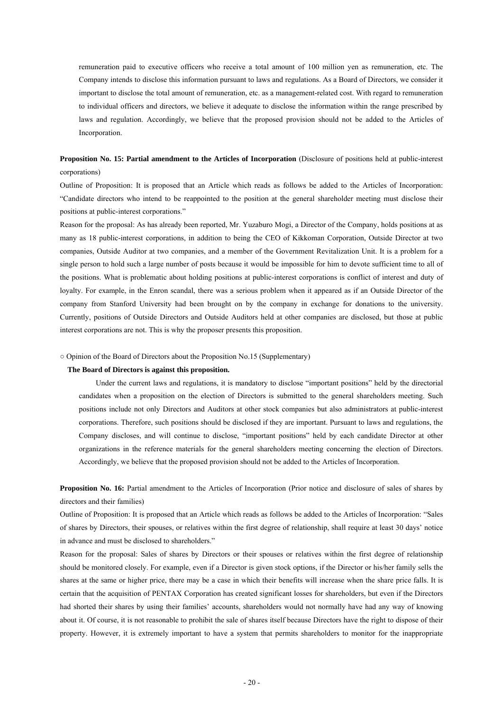remuneration paid to executive officers who receive a total amount of 100 million yen as remuneration, etc. The Company intends to disclose this information pursuant to laws and regulations. As a Board of Directors, we consider it important to disclose the total amount of remuneration, etc. as a management-related cost. With regard to remuneration to individual officers and directors, we believe it adequate to disclose the information within the range prescribed by laws and regulation. Accordingly, we believe that the proposed provision should not be added to the Articles of Incorporation.

# **Proposition No. 15: Partial amendment to the Articles of Incorporation** (Disclosure of positions held at public-interest corporations)

Outline of Proposition: It is proposed that an Article which reads as follows be added to the Articles of Incorporation: "Candidate directors who intend to be reappointed to the position at the general shareholder meeting must disclose their positions at public-interest corporations."

Reason for the proposal: As has already been reported, Mr. Yuzaburo Mogi, a Director of the Company, holds positions at as many as 18 public-interest corporations, in addition to being the CEO of Kikkoman Corporation, Outside Director at two companies, Outside Auditor at two companies, and a member of the Government Revitalization Unit. It is a problem for a single person to hold such a large number of posts because it would be impossible for him to devote sufficient time to all of the positions. What is problematic about holding positions at public-interest corporations is conflict of interest and duty of loyalty. For example, in the Enron scandal, there was a serious problem when it appeared as if an Outside Director of the company from Stanford University had been brought on by the company in exchange for donations to the university. Currently, positions of Outside Directors and Outside Auditors held at other companies are disclosed, but those at public interest corporations are not. This is why the proposer presents this proposition.

○ Opinion of the Board of Directors about the Proposition No.15 (Supplementary)

### **The Board of Directors is against this proposition.**

Under the current laws and regulations, it is mandatory to disclose "important positions" held by the directorial candidates when a proposition on the election of Directors is submitted to the general shareholders meeting. Such positions include not only Directors and Auditors at other stock companies but also administrators at public-interest corporations. Therefore, such positions should be disclosed if they are important. Pursuant to laws and regulations, the Company discloses, and will continue to disclose, "important positions" held by each candidate Director at other organizations in the reference materials for the general shareholders meeting concerning the election of Directors. Accordingly, we believe that the proposed provision should not be added to the Articles of Incorporation.

**Proposition No. 16:** Partial amendment to the Articles of Incorporation (Prior notice and disclosure of sales of shares by directors and their families)

Outline of Proposition: It is proposed that an Article which reads as follows be added to the Articles of Incorporation: "Sales of shares by Directors, their spouses, or relatives within the first degree of relationship, shall require at least 30 days' notice in advance and must be disclosed to shareholders."

Reason for the proposal: Sales of shares by Directors or their spouses or relatives within the first degree of relationship should be monitored closely. For example, even if a Director is given stock options, if the Director or his/her family sells the shares at the same or higher price, there may be a case in which their benefits will increase when the share price falls. It is certain that the acquisition of PENTAX Corporation has created significant losses for shareholders, but even if the Directors had shorted their shares by using their families' accounts, shareholders would not normally have had any way of knowing about it. Of course, it is not reasonable to prohibit the sale of shares itself because Directors have the right to dispose of their property. However, it is extremely important to have a system that permits shareholders to monitor for the inappropriate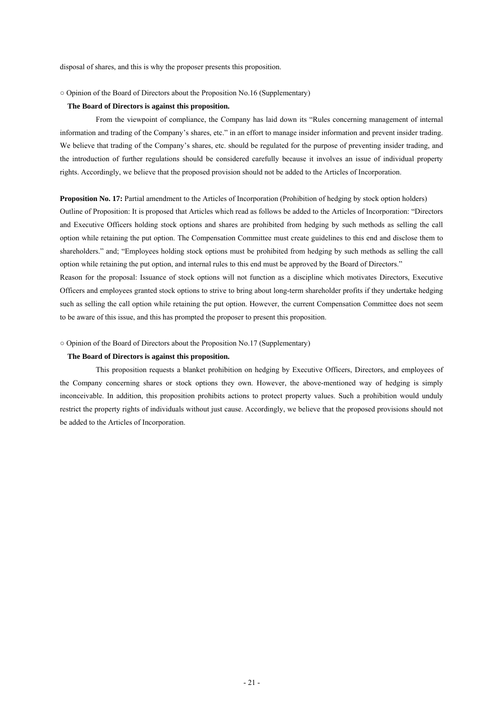disposal of shares, and this is why the proposer presents this proposition.

#### ○ Opinion of the Board of Directors about the Proposition No.16 (Supplementary)

# **The Board of Directors is against this proposition.**

 From the viewpoint of compliance, the Company has laid down its "Rules concerning management of internal information and trading of the Company's shares, etc." in an effort to manage insider information and prevent insider trading. We believe that trading of the Company's shares, etc. should be regulated for the purpose of preventing insider trading, and the introduction of further regulations should be considered carefully because it involves an issue of individual property rights. Accordingly, we believe that the proposed provision should not be added to the Articles of Incorporation.

#### **Proposition No. 17:** Partial amendment to the Articles of Incorporation (Prohibition of hedging by stock option holders)

Outline of Proposition: It is proposed that Articles which read as follows be added to the Articles of Incorporation: "Directors and Executive Officers holding stock options and shares are prohibited from hedging by such methods as selling the call option while retaining the put option. The Compensation Committee must create guidelines to this end and disclose them to shareholders." and; "Employees holding stock options must be prohibited from hedging by such methods as selling the call option while retaining the put option, and internal rules to this end must be approved by the Board of Directors."

Reason for the proposal: Issuance of stock options will not function as a discipline which motivates Directors, Executive Officers and employees granted stock options to strive to bring about long-term shareholder profits if they undertake hedging such as selling the call option while retaining the put option. However, the current Compensation Committee does not seem to be aware of this issue, and this has prompted the proposer to present this proposition.

#### ○ Opinion of the Board of Directors about the Proposition No.17 (Supplementary)

# **The Board of Directors is against this proposition.**

 This proposition requests a blanket prohibition on hedging by Executive Officers, Directors, and employees of the Company concerning shares or stock options they own. However, the above-mentioned way of hedging is simply inconceivable. In addition, this proposition prohibits actions to protect property values. Such a prohibition would unduly restrict the property rights of individuals without just cause. Accordingly, we believe that the proposed provisions should not be added to the Articles of Incorporation.